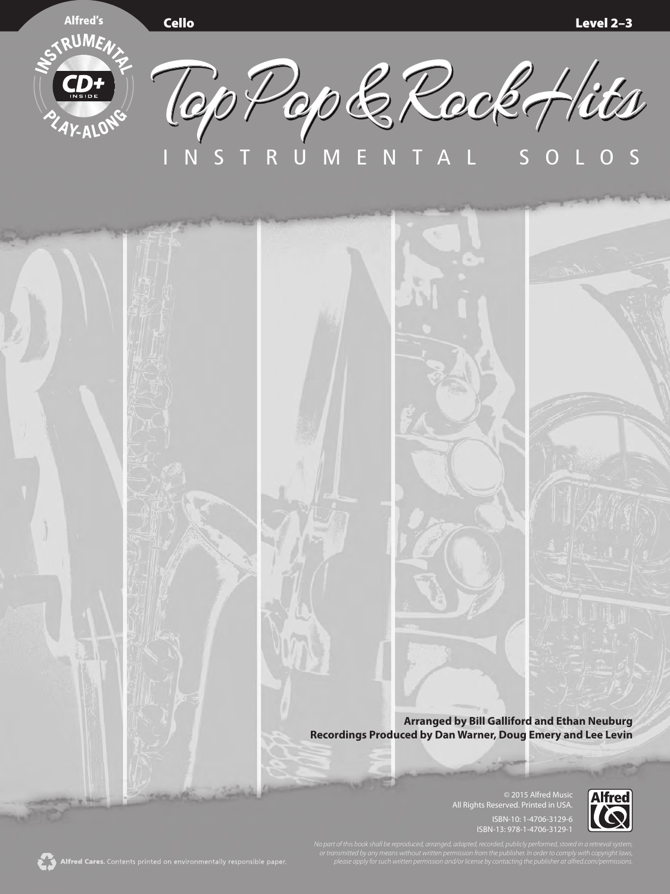

Top Pop & Rock Hits INSTRUMENTAL SOLOS

> **Arranged by Bill Galliford and Ethan Neuburg Recordings Produced by Dan Warner, Doug Emery and Lee Levin**

> > © 2015 Alfred Music All Rights Reserved. Printed in USA. ISBN-10: 1-4706-3129-6 ISBN-13: 978-1-4706-3129-1

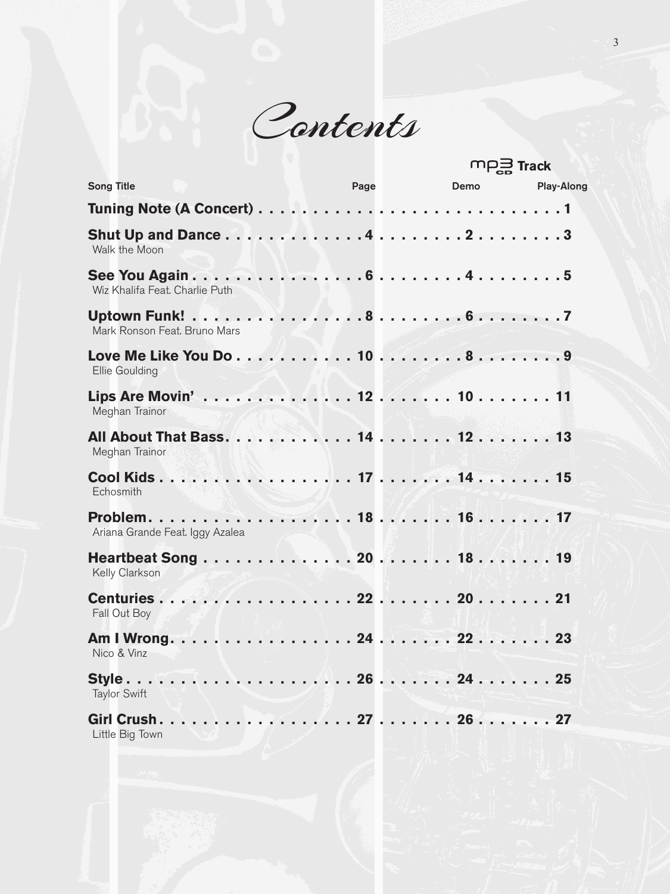Contents

|                                 |      |      | $mp \equiv$ Track |  |
|---------------------------------|------|------|-------------------|--|
| <b>Song Title</b>               | Page | Demo | <b>Play-Along</b> |  |
|                                 |      |      |                   |  |
| Walk the Moon                   |      |      |                   |  |
| Wiz Khalifa Feat. Charlie Puth  |      |      |                   |  |
| Mark Ronson Feat. Bruno Mars    |      |      |                   |  |
| Ellie Goulding                  |      |      |                   |  |
| Meghan Trainor                  |      |      |                   |  |
| Meghan Trainor                  |      |      |                   |  |
| Echosmith                       |      |      |                   |  |
| Ariana Grande Feat. Iggy Azalea |      |      |                   |  |
| Kelly Clarkson                  |      |      |                   |  |
| Fall Out Boy                    |      |      |                   |  |
| Nico & Vinz                     |      |      |                   |  |
| <b>Taylor Swift</b>             |      |      |                   |  |
| Little Big Town                 |      |      |                   |  |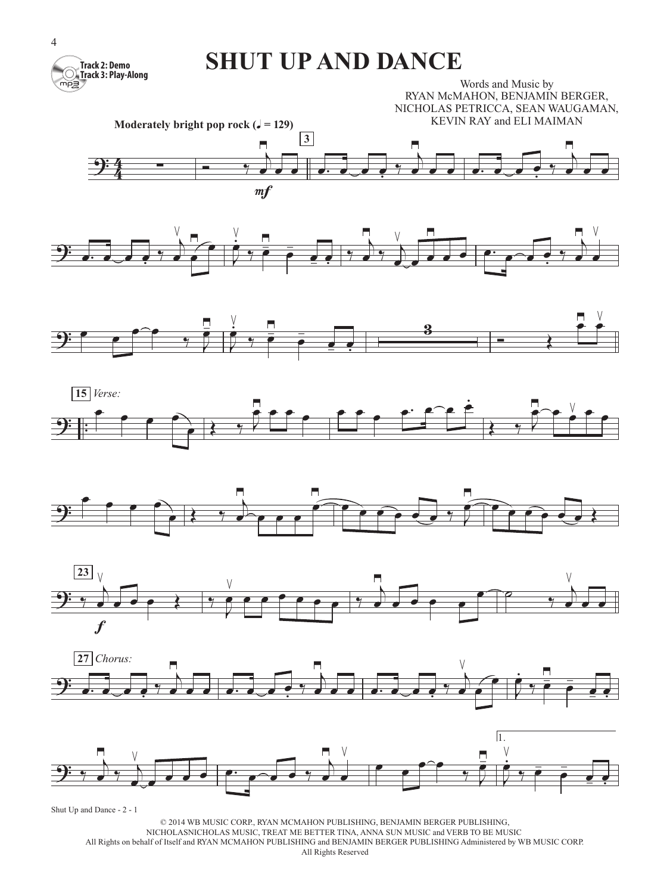

## **SHUT UP AND DANCE**

Words and Music by RYAN McMAHON, BENJAMIN BERGER, NICHOLAS PETRICCA, SEAN WAUGAMAN, KEVIN RAY and ELI MAIMAN

















Shut Up and Dance - 2 - 1

© 2014 WB MUSIC CORP., RYAN MCMAHON PUBLISHING, BENJAMIN BERGER PUBLISHING, NICHOLASNICHOLAS MUSIC, TREAT ME BETTER TINA, ANNA SUN MUSIC and VERB TO BE MUSIC All Rights on behalf of Itself and RYAN MCMAHON PUBLISHING and BENJAMIN BERGER PUBLISHING Administered by WB MUSIC CORP. All Rights Reserved